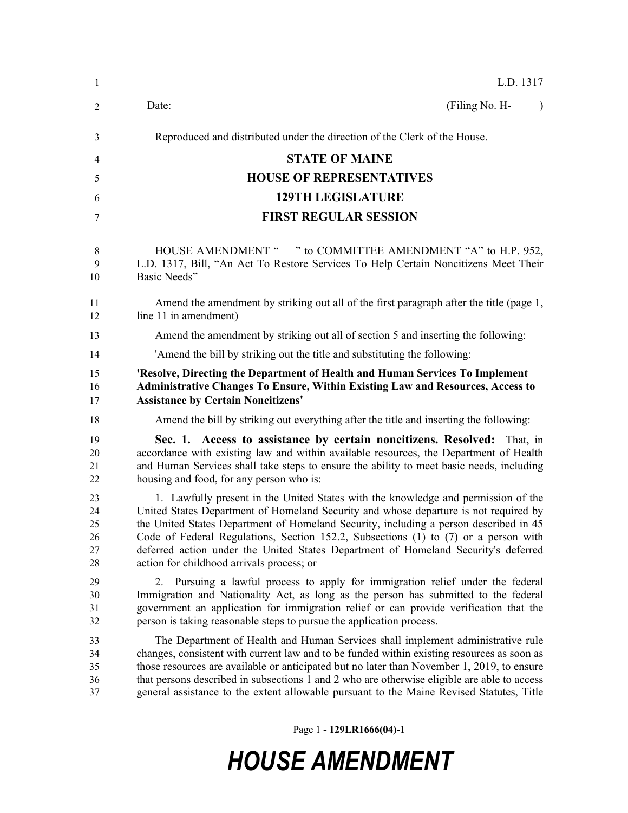| $\mathbf{1}$                     | L.D. 1317                                                                                                                                                                                                                                                                                                                                                                                                                                                                                    |
|----------------------------------|----------------------------------------------------------------------------------------------------------------------------------------------------------------------------------------------------------------------------------------------------------------------------------------------------------------------------------------------------------------------------------------------------------------------------------------------------------------------------------------------|
| 2                                | (Filing No. H-<br>Date:<br>$\mathbf{I}$                                                                                                                                                                                                                                                                                                                                                                                                                                                      |
| 3                                | Reproduced and distributed under the direction of the Clerk of the House.                                                                                                                                                                                                                                                                                                                                                                                                                    |
| 4                                | <b>STATE OF MAINE</b>                                                                                                                                                                                                                                                                                                                                                                                                                                                                        |
| 5                                | <b>HOUSE OF REPRESENTATIVES</b>                                                                                                                                                                                                                                                                                                                                                                                                                                                              |
| 6                                | <b>129TH LEGISLATURE</b>                                                                                                                                                                                                                                                                                                                                                                                                                                                                     |
| 7                                | <b>FIRST REGULAR SESSION</b>                                                                                                                                                                                                                                                                                                                                                                                                                                                                 |
| 8<br>9<br>10                     | " to COMMITTEE AMENDMENT "A" to H.P. 952,<br><b>HOUSE AMENDMENT "</b><br>L.D. 1317, Bill, "An Act To Restore Services To Help Certain Noncitizens Meet Their<br>Basic Needs"                                                                                                                                                                                                                                                                                                                 |
| 11<br>12                         | Amend the amendment by striking out all of the first paragraph after the title (page 1,<br>line 11 in amendment)                                                                                                                                                                                                                                                                                                                                                                             |
| 13                               | Amend the amendment by striking out all of section 5 and inserting the following:                                                                                                                                                                                                                                                                                                                                                                                                            |
| 14                               | 'Amend the bill by striking out the title and substituting the following:                                                                                                                                                                                                                                                                                                                                                                                                                    |
| 15<br>16<br>17                   | 'Resolve, Directing the Department of Health and Human Services To Implement<br><b>Administrative Changes To Ensure, Within Existing Law and Resources, Access to</b><br><b>Assistance by Certain Noncitizens'</b>                                                                                                                                                                                                                                                                           |
| 18                               | Amend the bill by striking out everything after the title and inserting the following:                                                                                                                                                                                                                                                                                                                                                                                                       |
| 19<br>20<br>21<br>22             | Sec. 1. Access to assistance by certain noncitizens. Resolved: That, in<br>accordance with existing law and within available resources, the Department of Health<br>and Human Services shall take steps to ensure the ability to meet basic needs, including<br>housing and food, for any person who is:                                                                                                                                                                                     |
| 23<br>24<br>25<br>26<br>27<br>28 | 1. Lawfully present in the United States with the knowledge and permission of the<br>United States Department of Homeland Security and whose departure is not required by<br>the United States Department of Homeland Security, including a person described in 45<br>Code of Federal Regulations, Section 152.2, Subsections (1) to (7) or a person with<br>deferred action under the United States Department of Homeland Security's deferred<br>action for childhood arrivals process; or |
| 29<br>30<br>31<br>32             | Pursuing a lawful process to apply for immigration relief under the federal<br>Immigration and Nationality Act, as long as the person has submitted to the federal<br>government an application for immigration relief or can provide verification that the<br>person is taking reasonable steps to pursue the application process.                                                                                                                                                          |
| 33<br>34<br>35<br>36<br>37       | The Department of Health and Human Services shall implement administrative rule<br>changes, consistent with current law and to be funded within existing resources as soon as<br>those resources are available or anticipated but no later than November 1, 2019, to ensure<br>that persons described in subsections 1 and 2 who are otherwise eligible are able to access<br>general assistance to the extent allowable pursuant to the Maine Revised Statutes, Title                       |

Page 1 **- 129LR1666(04)-1**

# *HOUSE AMENDMENT*